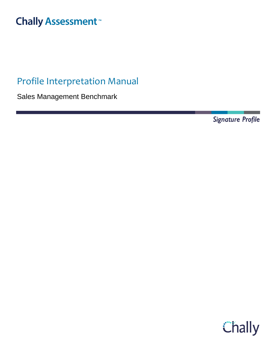# **Chally Assessment**<sup>™</sup>

# Profile Interpretation Manual

Sales Management Benchmark

**Signature Profile** 

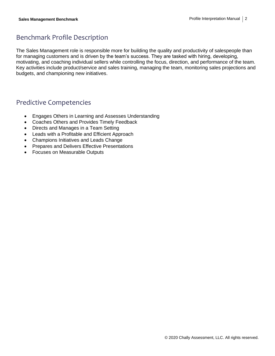# Benchmark Profile Description

The Sales Management role is responsible more for building the quality and productivity of salespeople than for managing customers and is driven by the team's success. They are tasked with hiring, developing, motivating, and coaching individual sellers while controlling the focus, direction, and performance of the team. Key activities include product/service and sales training, managing the team, monitoring sales projections and budgets, and championing new initiatives.

### Predictive Competencies

- Engages Others in Learning and Assesses Understanding
- Coaches Others and Provides Timely Feedback
- Directs and Manages in a Team Setting
- Leads with a Profitable and Efficient Approach
- Champions Initiatives and Leads Change
- Prepares and Delivers Effective Presentations
- Focuses on Measurable Outputs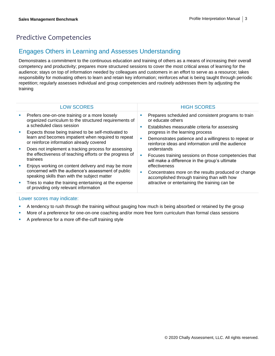# Predictive Competencies

### Engages Others in Learning and Assesses Understanding

Demonstrates a commitment to the continuous education and training of others as a means of increasing their overall competency and productivity; prepares more structured sessions to cover the most critical areas of learning for the audience; stays on top of information needed by colleagues and customers in an effort to serve as a resource; takes responsibility for motivating others to learn and retain key information; reinforces what is being taught through periodic repetition; regularly assesses individual and group competencies and routinely addresses them by adjusting the training

| <b>LOW SCORES</b>                                                                                                                         | <b>HIGH SCORES</b>                                                                                                        |
|-------------------------------------------------------------------------------------------------------------------------------------------|---------------------------------------------------------------------------------------------------------------------------|
|                                                                                                                                           |                                                                                                                           |
| Prefers one-on-one training or a more loosely<br>ш<br>organized curriculum to the structured requirements of<br>a scheduled class session | Prepares scheduled and consistent programs to train<br>or educate others<br>Establishes measurable criteria for assessing |
| Expects those being trained to be self-motivated to                                                                                       | progress in the learning process                                                                                          |
| learn and becomes impatient when required to repeat<br>or reinforce information already covered                                           | Demonstrates patience and a willingness to repeat or<br>reinforce ideas and information until the audience                |
| Does not implement a tracking process for assessing                                                                                       | understands                                                                                                               |
| the effectiveness of teaching efforts or the progress of<br>trainees                                                                      | Focuses training sessions on those competencies that<br>will make a difference in the group's ultimate                    |
| Enjoys working on content delivery and may be more                                                                                        | effectiveness                                                                                                             |
| concerned with the audience's assessment of public<br>speaking skills than with the subject matter                                        | Concentrates more on the results produced or change<br>accomplished through training than with how                        |
| Tries to make the training entertaining at the expense<br>ш<br>of providing only relevant information                                     | attractive or entertaining the training can be                                                                            |
|                                                                                                                                           |                                                                                                                           |

- **•** A tendency to rush through the training without gauging how much is being absorbed or retained by the group
- More of a preference for one-on-one coaching and/or more free form curriculum than formal class sessions
- A preference for a more off-the-cuff training style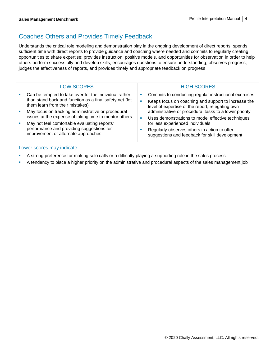### Coaches Others and Provides Timely Feedback

Understands the critical role modeling and demonstration play in the ongoing development of direct reports; spends sufficient time with direct reports to provide guidance and coaching where needed and commits to regularly creating opportunities to share expertise; provides instruction, positive models, and opportunities for observation in order to help others perform successfully and develop skills; encourages questions to ensure understanding; observes progress, judges the effectiveness of reports, and provides timely and appropriate feedback on progress

| <b>LOW SCORES</b>                                                                                                                                   | <b>HIGH SCORES</b>                                                                                                                                                         |
|-----------------------------------------------------------------------------------------------------------------------------------------------------|----------------------------------------------------------------------------------------------------------------------------------------------------------------------------|
| Can be tempted to take over for the individual rather<br>than stand back and function as a final safety net (let<br>them learn from their mistakes) | Commits to conducting regular instructional exercises<br>ш<br>Keeps focus on coaching and support to increase the<br>ш<br>level of expertise of the report, relegating own |
| May focus on tracking administrative or procedural<br>issues at the expense of taking time to mentor others                                         | administrative or procedural tasks to a lower priority<br>Uses demonstrations to model effective techniques<br>٠                                                           |
| May not feel comfortable evaluating reports'<br>performance and providing suggestions for<br>improvement or alternate approaches                    | for less experienced individuals<br>Regularly observes others in action to offer<br>suggestions and feedback for skill development                                         |

- A strong preference for making solo calls or a difficulty playing a supporting role in the sales process
- **•** A tendency to place a higher priority on the administrative and procedural aspects of the sales management job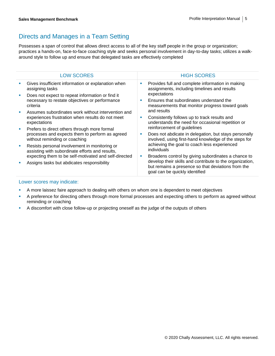# Directs and Manages in a Team Setting

Possesses a span of control that allows direct access to all of the key staff people in the group or organization; practices a hands-on, face-to-face coaching style and seeks personal involvement in day-to-day tasks; utilizes a walkaround style to follow up and ensure that delegated tasks are effectively completed

| <b>LOW SCORES</b>                                                                                  |   | <b>HIGH SCORES</b>                                                                                                                               |
|----------------------------------------------------------------------------------------------------|---|--------------------------------------------------------------------------------------------------------------------------------------------------|
| Gives insufficient information or explanation when<br>assigning tasks                              | ш | Provides full and complete information in making<br>assignments, including timelines and results                                                 |
| Does not expect to repeat information or find it<br>necessary to restate objectives or performance | ш | expectations<br>Ensures that subordinates understand the                                                                                         |
| criteria                                                                                           |   | measurements that monitor progress toward goals                                                                                                  |
| Assumes subordinates work without intervention and                                                 |   | and results                                                                                                                                      |
| experiences frustration when results do not meet<br>expectations                                   | ш | Consistently follows up to track results and<br>understands the need for occasional repetition or                                                |
| Prefers to direct others through more formal                                                       |   | reinforcement of guidelines                                                                                                                      |
| processes and expects them to perform as agreed<br>without reminding or coaching                   | ш | Does not abdicate in delegation, but stays personally<br>involved, using first-hand knowledge of the steps for                                   |
| Resists personal involvement in monitoring or<br>assisting with subordinate efforts and results,   |   | achieving the goal to coach less experienced<br>individuals                                                                                      |
| expecting them to be self-motivated and self-directed                                              | ш | Broadens control by giving subordinates a chance to                                                                                              |
| Assigns tasks but abdicates responsibility                                                         |   | develop their skills and contribute to the organization,<br>but remains a presence so that deviations from the<br>goal can be quickly identified |

- **A more laissez faire approach to dealing with others on whom one is dependent to meet objectives**
- **•** A preference for directing others through more formal processes and expecting others to perform as agreed without reminding or coaching
- **•** A discomfort with close follow-up or projecting oneself as the judge of the outputs of others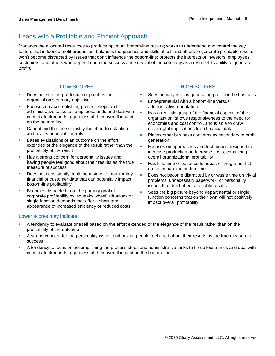## Leads with a Profitable and Efficient Approach

Manages the allocated resources to produce optimum bottom-line results; works to understand and control the key factors that influence profit production; balances the priorities and skills of self and others to generate profitable results; won't become distracted by issues that don't influence the bottom-line; protects the interests of investors, employees, customers, and others who depend upon the success and survival of the company as a result of its ability to generate profits

| <b>LOW SCORES</b>                                                                                                                                                                                                 |   | <b>HIGH SCORES</b>                                                                                                                                                                           |
|-------------------------------------------------------------------------------------------------------------------------------------------------------------------------------------------------------------------|---|----------------------------------------------------------------------------------------------------------------------------------------------------------------------------------------------|
| Does not see the production of profit as the<br>organization's primary objective                                                                                                                                  | п | Sees primary role as generating profit for the business<br>Entrepreneurial with a bottom-line versus                                                                                         |
| Focuses on accomplishing process steps and<br>administrative tasks to tie up loose ends and deal with<br>immediate demands regardless of their overall impact<br>on the bottom-line                               | п | administrative orientation<br>Has a realistic grasp of the financial aspects of the<br>organization, shows responsiveness to the need for<br>economies and cost control, and is able to draw |
| Cannot find the time or justify the effort to establish<br>and review financial controls                                                                                                                          | × | meaningful implications from financial data<br>Places other business concerns as secondary to profit                                                                                         |
| Bases evaluations of an outcome on the effort<br>extended or the elegance of the result rather than the<br>profitability of the result                                                                            | × | generation<br>Focuses on approaches and techniques designed to<br>increase production or decrease costs, enhancing                                                                           |
| Has a strong concern for personality issues and                                                                                                                                                                   |   | overall organizational profitability                                                                                                                                                         |
| having people feel good about their results as the true<br>measure of success                                                                                                                                     | п | Has little time or patience for ideas or programs that<br>do not impact the bottom line                                                                                                      |
| Does not consistently implement steps to monitor key<br>financial or customer data that can potentially impact<br>bottom-line profitability                                                                       |   | Does not become distracted by or waste time on trivial<br>problems, unnecessary paperwork, or personality<br>issues that don't affect profitable results                                     |
| Becomes distracted from the primary goal of<br>corporate profitability by 'squeaky wheel' situations or<br>single function demands that offer a short-term<br>appearance of increased efficiency or reduced costs |   | Sees the big picture beyond departmental or single<br>function concerns that on their own will not positively<br>impact overall profitability                                                |

- **EXECT** A tendency to evaluate oneself based on the effort extended or the elegance of the result rather than on the profitability of the outcome
- **•** A strong concern for the personality issues and having people feel good about their results as the true measure of success
- **EXECT** A tendency to focus on accomplishing the process steps and administrative tasks to tie up loose ends and deal with immediate demands regardless of their overall impact on the bottom-line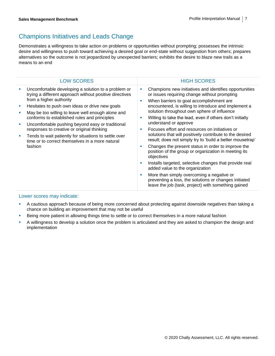## Champions Initiatives and Leads Change

Demonstrates a willingness to take action on problems or opportunities without prompting; possesses the intrinsic desire and willingness to push toward achieving a desired goal or end-state without suggestion from others; prepares alternatives so the outcome is not jeopardized by unexpected barriers; exhibits the desire to blaze new trails as a means to an end

| <b>LOW SCORES</b>                                                                                                                                                                                                                                                                                                                                                                                                                                                                                                         | <b>HIGH SCORES</b>                                                                                                                                                                                                                                                                                                                                                                                                                                                                                                                                                                                                                                                                                                                                                                                                                                                                                                                       |
|---------------------------------------------------------------------------------------------------------------------------------------------------------------------------------------------------------------------------------------------------------------------------------------------------------------------------------------------------------------------------------------------------------------------------------------------------------------------------------------------------------------------------|------------------------------------------------------------------------------------------------------------------------------------------------------------------------------------------------------------------------------------------------------------------------------------------------------------------------------------------------------------------------------------------------------------------------------------------------------------------------------------------------------------------------------------------------------------------------------------------------------------------------------------------------------------------------------------------------------------------------------------------------------------------------------------------------------------------------------------------------------------------------------------------------------------------------------------------|
| Uncomfortable developing a solution to a problem or<br>trying a different approach without positive directives<br>from a higher authority<br>Hesitates to push own ideas or drive new goals<br>May be too willing to leave well enough alone and<br>conforms to established rules and principles<br>Uncomfortable pushing beyond easy or traditional<br>responses to creative or original thinking<br>Tends to wait patiently for situations to settle over<br>time or to correct themselves in a more natural<br>fashion | Champions new initiatives and identifies opportunities<br>or issues requiring change without prompting<br>When barriers to goal accomplishment are<br>п<br>encountered, is willing to introduce and implement a<br>solution throughout own sphere of influence<br>Willing to take the lead, even if others don't initially<br>×<br>understand or approve<br>Focuses effort and resources on initiatives or<br>solutions that will positively contribute to the desired<br>result; does not simply try to 'build a better mousetrap'<br>Changes the present status in order to improve the<br>п<br>position of the group or organization in meeting its<br>objectives<br>Installs targeted, selective changes that provide real<br>п<br>added value to the organization<br>More than simply overcoming a negative or<br>п<br>preventing a loss, the solutions or changes initiated<br>leave the job (task, project) with something gained |

- A cautious approach because of being more concerned about protecting against downside negatives than taking a chance on building an improvement that may not be useful
- **EXECT ADDET FIND THE STARK IN A STARK IN A SHOW THE SHOW THE SHOW THE SHOW IS SHOW THE SHOW THE SHOW THE SHOW THE SHOW THE SHOW THE SHOW THE SHOW THE SHOW THE SHOW THE SHOW THE SHOW THE SHOW THE SHOW THE SHOW THE SHOW THE**
- A willingness to develop a solution once the problem is articulated and they are asked to champion the design and implementation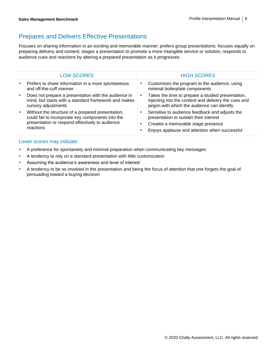### Prepares and Delivers Effective Presentations

Focuses on sharing information in an exciting and memorable manner; prefers group presentations; focuses equally on preparing delivery and content; stages a presentation to promote a more intangible service or solution; responds to audience cues and reactions by altering a prepared presentation as it progresses

| <b>LOW SCORES</b>                                                                                                                                                      | <b>HIGH SCORES</b>                                                                                                                                                                             |  |
|------------------------------------------------------------------------------------------------------------------------------------------------------------------------|------------------------------------------------------------------------------------------------------------------------------------------------------------------------------------------------|--|
| Prefers to share information in a more spontaneous<br>and off-the-cuff manner                                                                                          | Customizes the program to the audience, using<br>ш<br>minimal boilerplate components                                                                                                           |  |
| Does not prepare a presentation with the audience in<br>mind, but starts with a standard framework and makes<br>cursory adjustments                                    | Takes the time to prepare a studied presentation,<br>ш<br>injecting into the content and delivery the cues and<br>jargon with which the audience can identify                                  |  |
| Without the structure of a prepared presentation,<br>could fail to incorporate key components into the<br>presentation or respond effectively to audience<br>reactions | Sensitive to audience feedback and adjusts the<br>ш<br>presentation to sustain their interest<br>Creates a memorable stage presence<br>ш<br>Enjoys applause and attention when successful<br>п |  |

- **A preference for spontaneity and minimal preparation when communicating key messages**
- A tendency to rely on a standard presentation with little customization
- **EXE** Assuming the audience's awareness and level of interest
- **•** A tendency to be so involved in the presentation and being the focus of attention that one forgets the goal of persuading toward a buying decision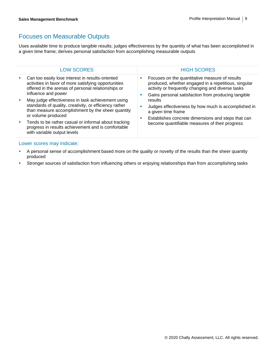### Focuses on Measurable Outputs

Uses available time to produce tangible results; judges effectiveness by the quantity of what has been accomplished in a given time frame; derives personal satisfaction from accomplishing measurable outputs

|                          | <b>LOW SCORES</b>                                                                                                                                                                      | <b>HIGH SCORES</b>                                                                                                                                                                                          |
|--------------------------|----------------------------------------------------------------------------------------------------------------------------------------------------------------------------------------|-------------------------------------------------------------------------------------------------------------------------------------------------------------------------------------------------------------|
|                          | Can too easily lose interest in results-oriented<br>activities in favor of more satisfying opportunities<br>offered in the arenas of personal relationships or<br>influence and power  | Focuses on the quantitative measure of results<br>produced, whether engaged in a repetitious, singular<br>activity or frequently changing and diverse tasks<br>ш                                            |
|                          | May judge effectiveness in task achievement using<br>standards of quality, creativity, or efficiency rather<br>than measure accomplishment by the sheer quantity<br>or volume produced | Gains personal satisfaction from producing tangible<br>results<br>Judges effectiveness by how much is accomplished in<br>п<br>a given time frame<br>Establishes concrete dimensions and steps that can<br>п |
| $\mathcal{L}_{\rm{eff}}$ | Tends to be rather casual or informal about tracking<br>progress in results achievement and is comfortable<br>with variable output levels                                              | become quantifiable measures of their progress                                                                                                                                                              |

- A personal sense of accomplishment based more on the quality or novelty of the results than the sheer quantity produced
- **EXTED Stronger sources of satisfaction from influencing others or enjoying relationships than from accomplishing tasks**